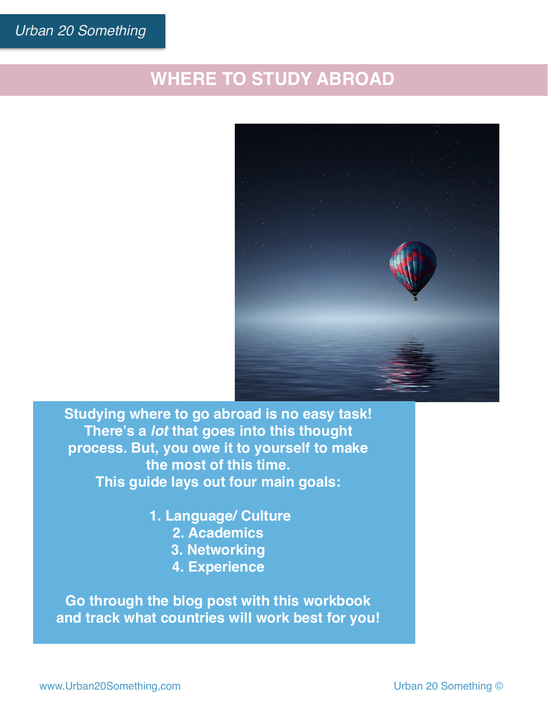# **WHERE TO STUDY ABROAD**



**Studying where to go abroad is no easy task! There's a** *lot* **that goes into this thought process. But, you owe it to yourself to make the most of this time. This guide lays out four main goals:**

> **1. Language/ Culture 2. Academics**

- **3. Networking**
- **4. Experience**

**Go through the blog post with this workbook and track what countries will work best for you!**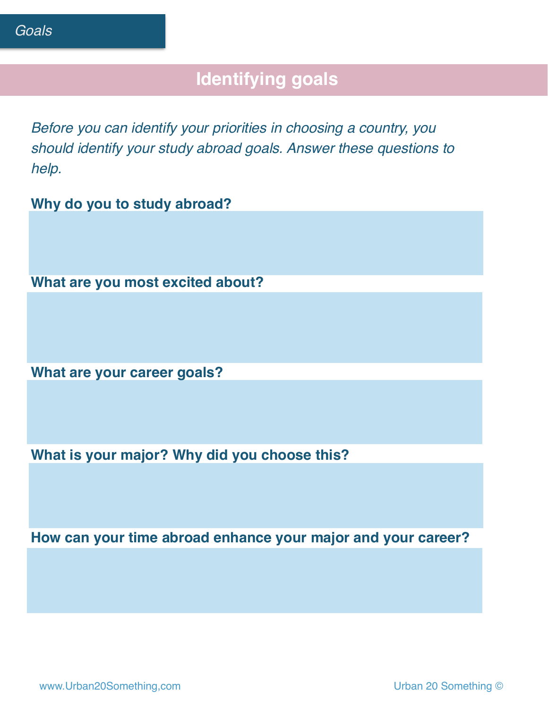# **Identifying goals**

*Before you can identify your priorities in choosing a country, you should identify your study abroad goals. Answer these questions to help.*

**Why do you to study abroad?**

**What are you most excited about?**

**What are your career goals?** 

**What is your major? Why did you choose this?**

**How can your time abroad enhance your major and your career?**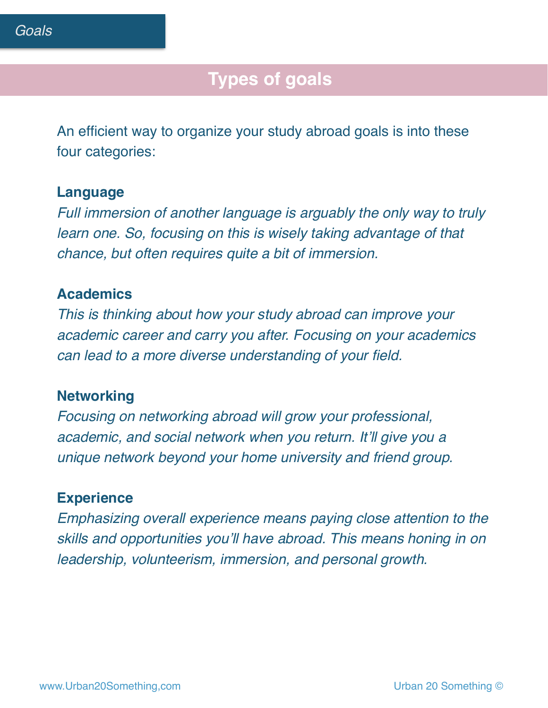## **Types of goals**

An efficient way to organize your study abroad goals is into these four categories:

#### **Language**

*Full immersion of another language is arguably the only way to truly learn one. So, focusing on this is wisely taking advantage of that chance, but often requires quite a bit of immersion.* 

#### **Academics**

*This is thinking about how your study abroad can improve your academic career and carry you after. Focusing on your academics can lead to a more diverse understanding of your field.* 

#### **Networking**

*Focusing on networking abroad will grow your professional, academic, and social network when you return. It'll give you a unique network beyond your home university and friend group.* 

#### **Experience**

*Emphasizing overall experience means paying close attention to the skills and opportunities you'll have abroad. This means honing in on leadership, volunteerism, immersion, and personal growth.*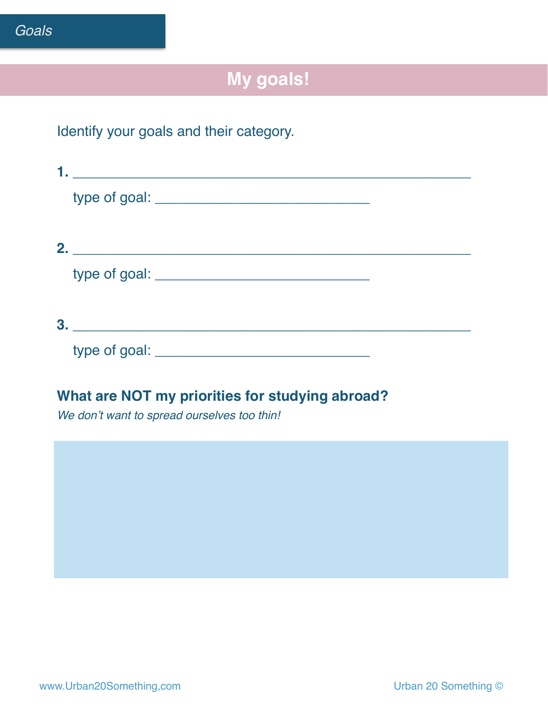# **My goals!**

### Identify your goals and their category.

| 2. |                          |  |
|----|--------------------------|--|
|    |                          |  |
| 3. |                          |  |
|    | type of goal: __________ |  |

#### **What are NOT my priorities for studying abroad?**

*We don't want to spread ourselves too thin!*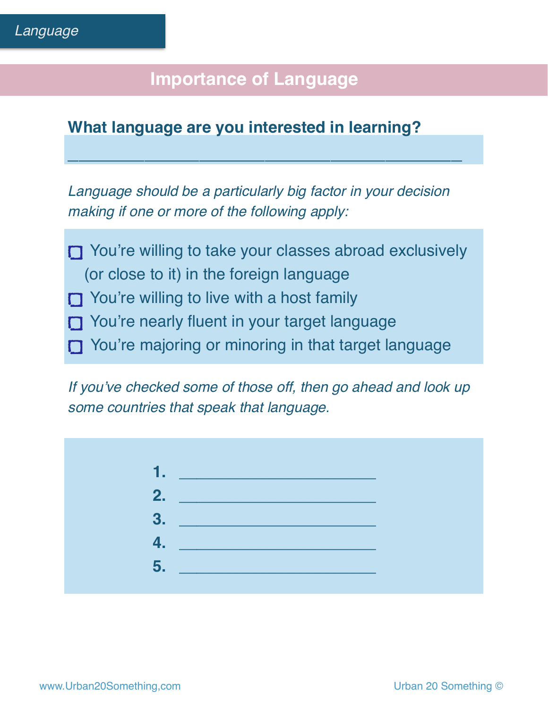# **Importance of Language**

### **What language are you interested in learning?**

*Language should be a particularly big factor in your decision making if one or more of the following apply:* 

**\_\_\_\_\_\_\_\_\_\_\_\_\_\_\_\_\_\_\_\_\_\_\_\_\_\_\_\_\_\_\_\_\_\_\_\_**

- T You're willing to take your classes abroad exclusively (or close to it) in the foreign language
- You're willing to live with a host family
- T You're nearly fluent in your target language
- You're majoring or minoring in that target language

*If you've checked some of those off, then go ahead and look up some countries that speak that language.*

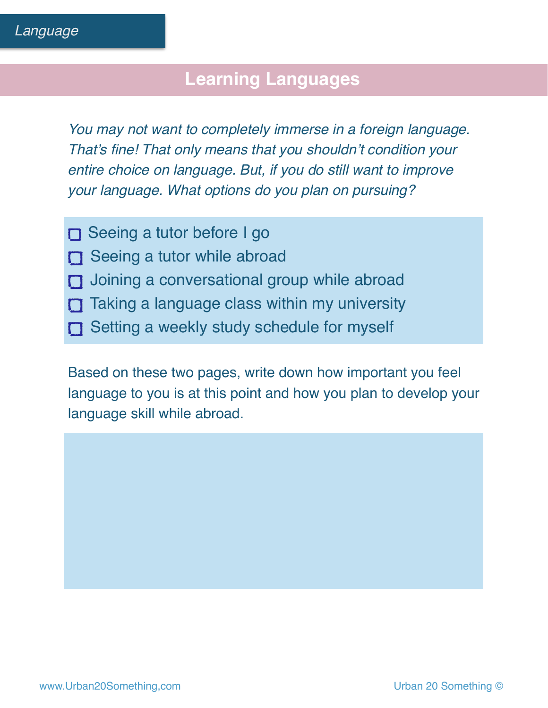## **Learning Languages**

*You may not want to completely immerse in a foreign language. That's fine! That only means that you shouldn't condition your entire choice on language. But, if you do still want to improve your language. What options do you plan on pursuing?*

- Seeing a tutor before I go
- Seeing a tutor while abroad
- $\Box$  Joining a conversational group while abroad
- $\Box$  Taking a language class within my university
- Setting a weekly study schedule for myself

Based on these two pages, write down how important you feel language to you is at this point and how you plan to develop your language skill while abroad.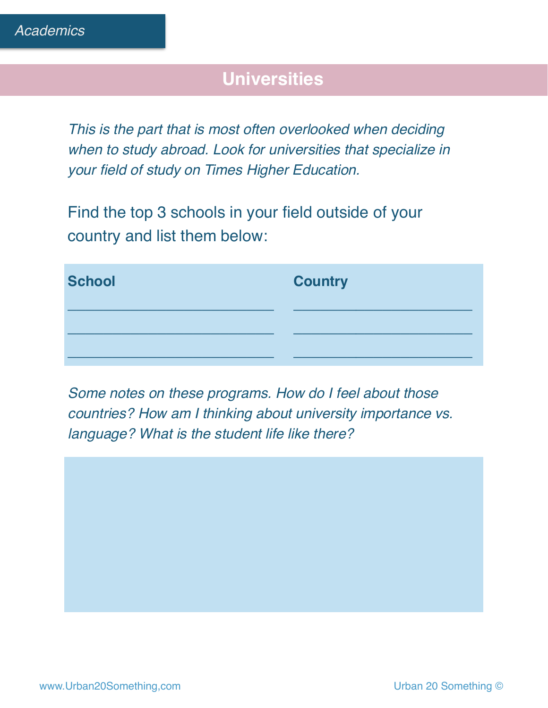# **Universities**

*This is the part that is most often overlooked when deciding when to study abroad. Look for universities that specialize in your field of study on Times Higher Education.* 

Find the top 3 schools in your field outside of your country and list them below:

| <b>School</b> | <b>Country</b> |
|---------------|----------------|
|               |                |
|               |                |

*Some notes on these programs. How do I feel about those countries? How am I thinking about university importance vs. language? What is the student life like there?*

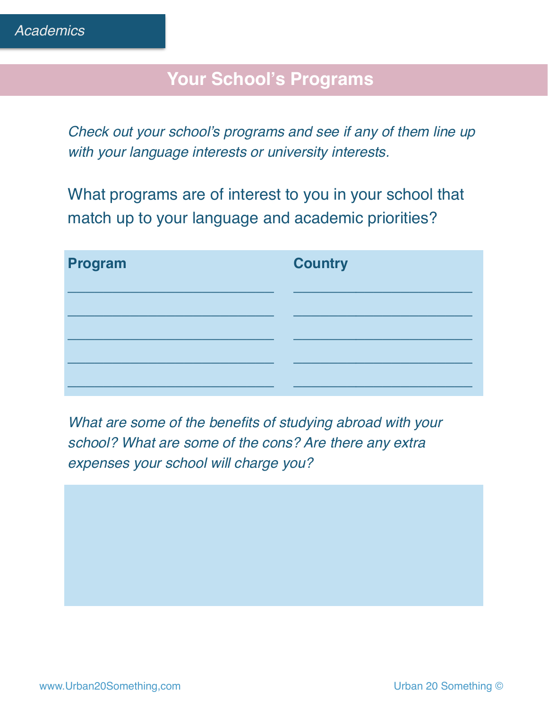## **Your School's Programs**

*Check out your school's programs and see if any of them line up with your language interests or university interests.* 

What programs are of interest to you in your school that match up to your language and academic priorities?

| Program | <b>Country</b> |
|---------|----------------|
|         |                |
|         |                |
|         |                |
|         |                |

*What are some of the benefits of studying abroad with your school? What are some of the cons? Are there any extra expenses your school will charge you?*

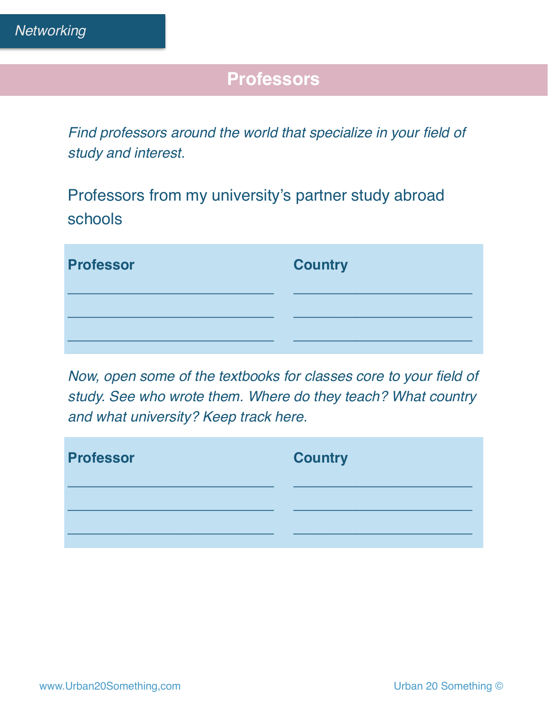# **Professors**

*Find professors around the world that specialize in your field of study and interest.* 

Professors from my university's partner study abroad schools

| <b>Professor</b> | <b>Country</b> |
|------------------|----------------|
|                  |                |
|                  |                |

*Now, open some of the textbooks for classes core to your field of study. See who wrote them. Where do they teach? What country and what university? Keep track here.*

| <b>Professor</b> | <b>Country</b> |
|------------------|----------------|
|                  |                |
|                  |                |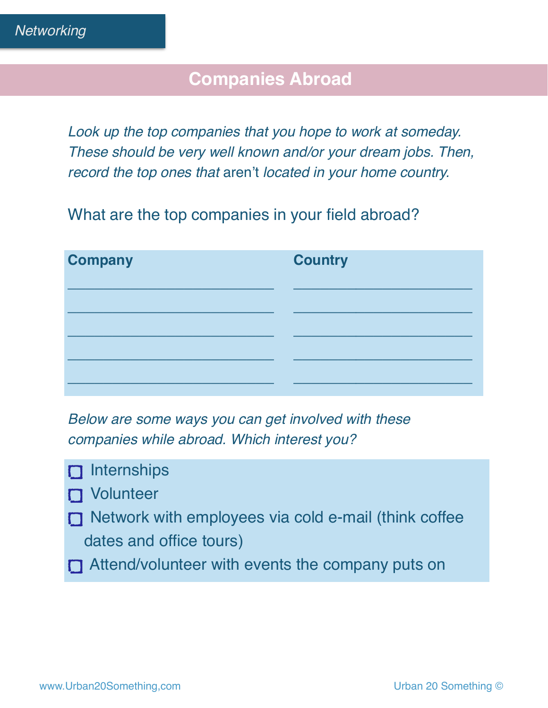### **Companies Abroad**

*Look up the top companies that you hope to work at someday. These should be very well known and/or your dream jobs. Then, record the top ones that* aren't *located in your home country.*

What are the top companies in your field abroad?

| <b>Company</b> | <b>Country</b> |
|----------------|----------------|
|                |                |
|                |                |
|                |                |
|                |                |

*Below are some ways you can get involved with these companies while abroad. Which interest you?*

- $\Box$  Internships
- **D** Volunteer
- **I** Network with employees via cold e-mail (think coffee dates and office tours)
- **T** Attend/volunteer with events the company puts on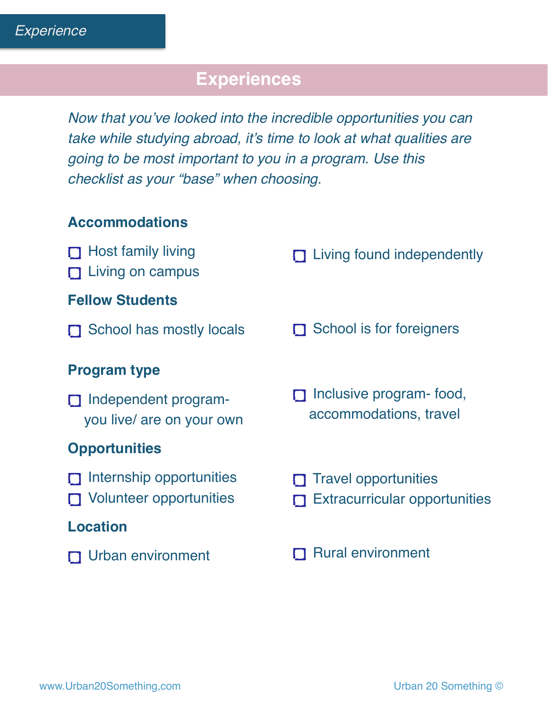# **Experiences**

*Now that you've looked into the incredible opportunities you can take while studying abroad, it's time to look at what qualities are going to be most important to you in a program. Use this checklist as your "base" when choosing.* 

#### **Accommodations**

| $\Box$ Host family living<br>$\Box$ Living on campus              | $\Box$ Living found independently                                   |  |  |
|-------------------------------------------------------------------|---------------------------------------------------------------------|--|--|
| <b>Fellow Students</b>                                            |                                                                     |  |  |
| School has mostly locals                                          | $\Box$ School is for foreigners                                     |  |  |
| <b>Program type</b>                                               |                                                                     |  |  |
| $\Box$ Independent program-<br>you live/ are on your own          | Inclusive program- food,<br>$\Box$<br>accommodations, travel        |  |  |
| <b>Opportunities</b>                                              |                                                                     |  |  |
| $\Box$ Internship opportunities<br>$\Box$ Volunteer opportunities | $\Box$ Travel opportunities<br><b>Extracurricular opportunities</b> |  |  |
| <b>Location</b>                                                   |                                                                     |  |  |
| $\Box$ Urban environment                                          | <b>Rural environment</b>                                            |  |  |